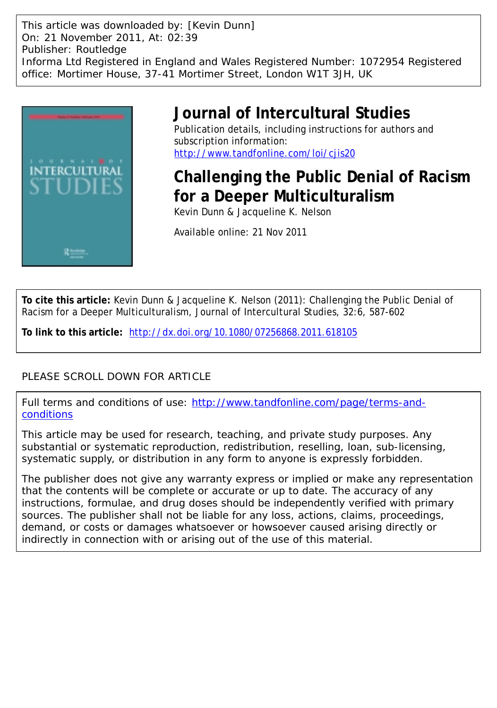This article was downloaded by: [Kevin Dunn] On: 21 November 2011, At: 02:39 Publisher: Routledge Informa Ltd Registered in England and Wales Registered Number: 1072954 Registered office: Mortimer House, 37-41 Mortimer Street, London W1T 3JH, UK



## **Journal of Intercultural Studies**

Publication details, including instructions for authors and subscription information: <http://www.tandfonline.com/loi/cjis20>

## **Challenging the Public Denial of Racism for a Deeper Multiculturalism**

Kevin Dunn & Jacqueline K. Nelson

Available online: 21 Nov 2011

**To cite this article:** Kevin Dunn & Jacqueline K. Nelson (2011): Challenging the Public Denial of Racism for a Deeper Multiculturalism, Journal of Intercultural Studies, 32:6, 587-602

**To link to this article:** <http://dx.doi.org/10.1080/07256868.2011.618105>

## PLEASE SCROLL DOWN FOR ARTICLE

Full terms and conditions of use: [http://www.tandfonline.com/page/terms-and](http://www.tandfonline.com/page/terms-and-conditions)[conditions](http://www.tandfonline.com/page/terms-and-conditions)

This article may be used for research, teaching, and private study purposes. Any substantial or systematic reproduction, redistribution, reselling, loan, sub-licensing, systematic supply, or distribution in any form to anyone is expressly forbidden.

The publisher does not give any warranty express or implied or make any representation that the contents will be complete or accurate or up to date. The accuracy of any instructions, formulae, and drug doses should be independently verified with primary sources. The publisher shall not be liable for any loss, actions, claims, proceedings, demand, or costs or damages whatsoever or howsoever caused arising directly or indirectly in connection with or arising out of the use of this material.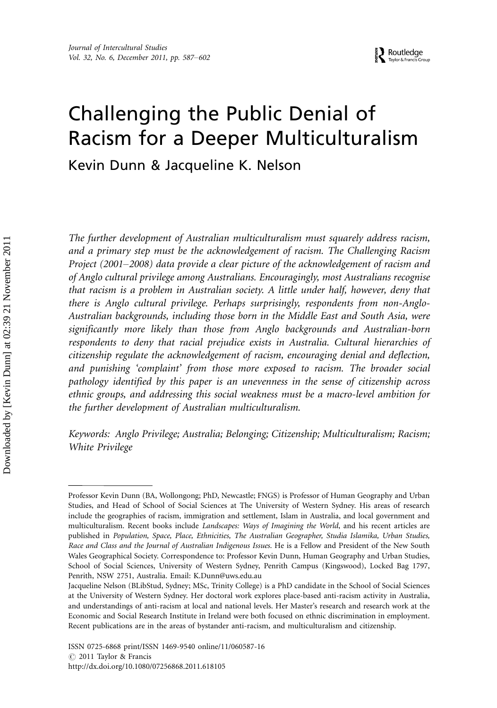# Challenging the Public Denial of Racism for a Deeper Multiculturalism Kevin Dunn & Jacqueline K. Nelson

The further development of Australian multiculturalism must squarely address racism, and a primary step must be the acknowledgement of racism. The Challenging Racism Project (2001-2008) data provide a clear picture of the acknowledgement of racism and of Anglo cultural privilege among Australians. Encouragingly, most Australians recognise that racism is a problem in Australian society. A little under half, however, deny that there is Anglo cultural privilege. Perhaps surprisingly, respondents from non-Anglo-Australian backgrounds, including those born in the Middle East and South Asia, were significantly more likely than those from Anglo backgrounds and Australian-born respondents to deny that racial prejudice exists in Australia. Cultural hierarchies of citizenship regulate the acknowledgement of racism, encouraging denial and deflection, and punishing 'complaint' from those more exposed to racism. The broader social pathology identified by this paper is an unevenness in the sense of citizenship across ethnic groups, and addressing this social weakness must be a macro-level ambition for the further development of Australian multiculturalism.

Keywords: Anglo Privilege; Australia; Belonging; Citizenship; Multiculturalism; Racism; White Privilege

Professor Kevin Dunn (BA, Wollongong; PhD, Newcastle; FNGS) is Professor of Human Geography and Urban Studies, and Head of School of Social Sciences at The University of Western Sydney. His areas of research include the geographies of racism, immigration and settlement, Islam in Australia, and local government and multiculturalism. Recent books include Landscapes: Ways of Imagining the World, and his recent articles are published in Population, Space, Place, Ethnicities, The Australian Geographer, Studia Islamika, Urban Studies, Race and Class and the Journal of Australian Indigenous Issues. He is a Fellow and President of the New South Wales Geographical Society. Correspondence to: Professor Kevin Dunn, Human Geography and Urban Studies, School of Social Sciences, University of Western Sydney, Penrith Campus (Kingswood), Locked Bag 1797, Penrith, NSW 2751, Australia. Email: K.Dunn@uws.edu.au

Jacqueline Nelson (BLibStud, Sydney; MSc, Trinity College) is a PhD candidate in the School of Social Sciences at the University of Western Sydney. Her doctoral work explores place-based anti-racism activity in Australia, and understandings of anti-racism at local and national levels. Her Master's research and research work at the Economic and Social Research Institute in Ireland were both focused on ethnic discrimination in employment. Recent publications are in the areas of bystander anti-racism, and multiculturalism and citizenship.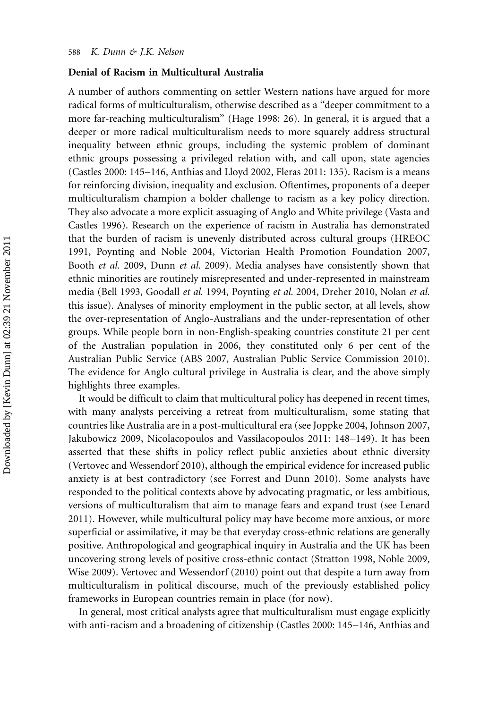## Denial of Racism in Multicultural Australia

A number of authors commenting on settler Western nations have argued for more radical forms of multiculturalism, otherwise described as a ''deeper commitment to a more far-reaching multiculturalism'' (Hage 1998: 26). In general, it is argued that a deeper or more radical multiculturalism needs to more squarely address structural inequality between ethnic groups, including the systemic problem of dominant ethnic groups possessing a privileged relation with, and call upon, state agencies (Castles 2000: 145-146, Anthias and Lloyd 2002, Fleras 2011: 135). Racism is a means for reinforcing division, inequality and exclusion. Oftentimes, proponents of a deeper multiculturalism champion a bolder challenge to racism as a key policy direction. They also advocate a more explicit assuaging of Anglo and White privilege (Vasta and Castles 1996). Research on the experience of racism in Australia has demonstrated that the burden of racism is unevenly distributed across cultural groups (HREOC 1991, Poynting and Noble 2004, Victorian Health Promotion Foundation 2007, Booth et al. 2009, Dunn et al. 2009). Media analyses have consistently shown that ethnic minorities are routinely misrepresented and under-represented in mainstream media (Bell 1993, Goodall et al. 1994, Poynting et al. 2004, Dreher 2010, Nolan et al. this issue). Analyses of minority employment in the public sector, at all levels, show the over-representation of Anglo-Australians and the under-representation of other groups. While people born in non-English-speaking countries constitute 21 per cent of the Australian population in 2006, they constituted only 6 per cent of the Australian Public Service (ABS 2007, Australian Public Service Commission 2010). The evidence for Anglo cultural privilege in Australia is clear, and the above simply highlights three examples.

It would be difficult to claim that multicultural policy has deepened in recent times, with many analysts perceiving a retreat from multiculturalism, some stating that countries like Australia are in a post-multicultural era (see Joppke 2004, Johnson 2007, Jakubowicz 2009, Nicolacopoulos and Vassilacopoulos 2011: 148–149). It has been asserted that these shifts in policy reflect public anxieties about ethnic diversity (Vertovec and Wessendorf 2010), although the empirical evidence for increased public anxiety is at best contradictory (see Forrest and Dunn 2010). Some analysts have responded to the political contexts above by advocating pragmatic, or less ambitious, versions of multiculturalism that aim to manage fears and expand trust (see Lenard 2011). However, while multicultural policy may have become more anxious, or more superficial or assimilative, it may be that everyday cross-ethnic relations are generally positive. Anthropological and geographical inquiry in Australia and the UK has been uncovering strong levels of positive cross-ethnic contact (Stratton 1998, Noble 2009, Wise 2009). Vertovec and Wessendorf (2010) point out that despite a turn away from multiculturalism in political discourse, much of the previously established policy frameworks in European countries remain in place (for now).

In general, most critical analysts agree that multiculturalism must engage explicitly with anti-racism and a broadening of citizenship (Castles 2000:  $145-146$ , Anthias and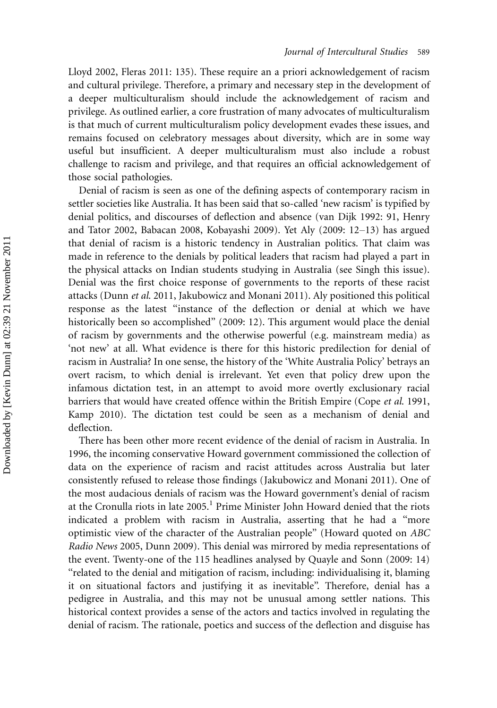Lloyd 2002, Fleras 2011: 135). These require an a priori acknowledgement of racism and cultural privilege. Therefore, a primary and necessary step in the development of a deeper multiculturalism should include the acknowledgement of racism and privilege. As outlined earlier, a core frustration of many advocates of multiculturalism is that much of current multiculturalism policy development evades these issues, and remains focused on celebratory messages about diversity, which are in some way useful but insufficient. A deeper multiculturalism must also include a robust challenge to racism and privilege, and that requires an official acknowledgement of those social pathologies.

Denial of racism is seen as one of the defining aspects of contemporary racism in settler societies like Australia. It has been said that so-called 'new racism' is typified by denial politics, and discourses of deflection and absence (van Dijk 1992: 91, Henry and Tator 2002, Babacan 2008, Kobayashi 2009). Yet Aly  $(2009: 12-13)$  has argued that denial of racism is a historic tendency in Australian politics. That claim was made in reference to the denials by political leaders that racism had played a part in the physical attacks on Indian students studying in Australia (see Singh this issue). Denial was the first choice response of governments to the reports of these racist attacks (Dunn et al. 2011, Jakubowicz and Monani 2011). Aly positioned this political response as the latest ''instance of the deflection or denial at which we have historically been so accomplished'' (2009: 12). This argument would place the denial of racism by governments and the otherwise powerful (e.g. mainstream media) as 'not new' at all. What evidence is there for this historic predilection for denial of racism in Australia? In one sense, the history of the 'White Australia Policy' betrays an overt racism, to which denial is irrelevant. Yet even that policy drew upon the infamous dictation test, in an attempt to avoid more overtly exclusionary racial barriers that would have created offence within the British Empire (Cope et al. 1991, Kamp 2010). The dictation test could be seen as a mechanism of denial and deflection.

There has been other more recent evidence of the denial of racism in Australia. In 1996, the incoming conservative Howard government commissioned the collection of data on the experience of racism and racist attitudes across Australia but later consistently refused to release those findings (Jakubowicz and Monani 2011). One of the most audacious denials of racism was the Howard government's denial of racism at the Cronulla riots in late  $2005$ .<sup>1</sup> Prime Minister John Howard denied that the riots indicated a problem with racism in Australia, asserting that he had a ''more optimistic view of the character of the Australian people'' (Howard quoted on ABC Radio News 2005, Dunn 2009). This denial was mirrored by media representations of the event. Twenty-one of the 115 headlines analysed by Quayle and Sonn (2009: 14) ''related to the denial and mitigation of racism, including: individualising it, blaming it on situational factors and justifying it as inevitable''. Therefore, denial has a pedigree in Australia, and this may not be unusual among settler nations. This historical context provides a sense of the actors and tactics involved in regulating the denial of racism. The rationale, poetics and success of the deflection and disguise has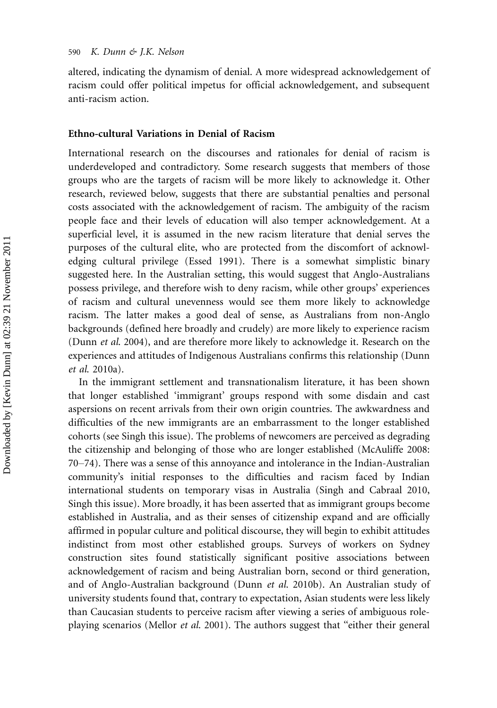altered, indicating the dynamism of denial. A more widespread acknowledgement of racism could offer political impetus for official acknowledgement, and subsequent anti-racism action.

### Ethno-cultural Variations in Denial of Racism

International research on the discourses and rationales for denial of racism is underdeveloped and contradictory. Some research suggests that members of those groups who are the targets of racism will be more likely to acknowledge it. Other research, reviewed below, suggests that there are substantial penalties and personal costs associated with the acknowledgement of racism. The ambiguity of the racism people face and their levels of education will also temper acknowledgement. At a superficial level, it is assumed in the new racism literature that denial serves the purposes of the cultural elite, who are protected from the discomfort of acknowledging cultural privilege (Essed 1991). There is a somewhat simplistic binary suggested here. In the Australian setting, this would suggest that Anglo-Australians possess privilege, and therefore wish to deny racism, while other groups' experiences of racism and cultural unevenness would see them more likely to acknowledge racism. The latter makes a good deal of sense, as Australians from non-Anglo backgrounds (defined here broadly and crudely) are more likely to experience racism (Dunn et al. 2004), and are therefore more likely to acknowledge it. Research on the experiences and attitudes of Indigenous Australians confirms this relationship (Dunn et al. 2010a).

In the immigrant settlement and transnationalism literature, it has been shown that longer established 'immigrant' groups respond with some disdain and cast aspersions on recent arrivals from their own origin countries. The awkwardness and difficulties of the new immigrants are an embarrassment to the longer established cohorts (see Singh this issue). The problems of newcomers are perceived as degrading the citizenship and belonging of those who are longer established (McAuliffe 2008: 7074). There was a sense of this annoyance and intolerance in the Indian-Australian community's initial responses to the difficulties and racism faced by Indian international students on temporary visas in Australia (Singh and Cabraal 2010, Singh this issue). More broadly, it has been asserted that as immigrant groups become established in Australia, and as their senses of citizenship expand and are officially affirmed in popular culture and political discourse, they will begin to exhibit attitudes indistinct from most other established groups. Surveys of workers on Sydney construction sites found statistically significant positive associations between acknowledgement of racism and being Australian born, second or third generation, and of Anglo-Australian background (Dunn et al. 2010b). An Australian study of university students found that, contrary to expectation, Asian students were less likely than Caucasian students to perceive racism after viewing a series of ambiguous roleplaying scenarios (Mellor *et al.* 2001). The authors suggest that "either their general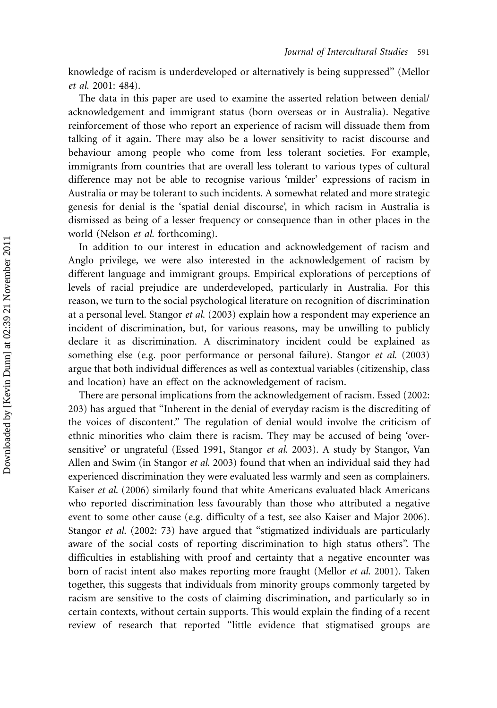knowledge of racism is underdeveloped or alternatively is being suppressed'' (Mellor et al. 2001: 484).

The data in this paper are used to examine the asserted relation between denial/ acknowledgement and immigrant status (born overseas or in Australia). Negative reinforcement of those who report an experience of racism will dissuade them from talking of it again. There may also be a lower sensitivity to racist discourse and behaviour among people who come from less tolerant societies. For example, immigrants from countries that are overall less tolerant to various types of cultural difference may not be able to recognise various 'milder' expressions of racism in Australia or may be tolerant to such incidents. A somewhat related and more strategic genesis for denial is the 'spatial denial discourse', in which racism in Australia is dismissed as being of a lesser frequency or consequence than in other places in the world (Nelson et al. forthcoming).

In addition to our interest in education and acknowledgement of racism and Anglo privilege, we were also interested in the acknowledgement of racism by different language and immigrant groups. Empirical explorations of perceptions of levels of racial prejudice are underdeveloped, particularly in Australia. For this reason, we turn to the social psychological literature on recognition of discrimination at a personal level. Stangor et al. (2003) explain how a respondent may experience an incident of discrimination, but, for various reasons, may be unwilling to publicly declare it as discrimination. A discriminatory incident could be explained as something else (e.g. poor performance or personal failure). Stangor et al. (2003) argue that both individual differences as well as contextual variables (citizenship, class and location) have an effect on the acknowledgement of racism.

There are personal implications from the acknowledgement of racism. Essed (2002: 203) has argued that ''Inherent in the denial of everyday racism is the discrediting of the voices of discontent.'' The regulation of denial would involve the criticism of ethnic minorities who claim there is racism. They may be accused of being 'oversensitive' or ungrateful (Essed 1991, Stangor et al. 2003). A study by Stangor, Van Allen and Swim (in Stangor et al. 2003) found that when an individual said they had experienced discrimination they were evaluated less warmly and seen as complainers. Kaiser et al. (2006) similarly found that white Americans evaluated black Americans who reported discrimination less favourably than those who attributed a negative event to some other cause (e.g. difficulty of a test, see also Kaiser and Major 2006). Stangor et al. (2002: 73) have argued that ''stigmatized individuals are particularly aware of the social costs of reporting discrimination to high status others''. The difficulties in establishing with proof and certainty that a negative encounter was born of racist intent also makes reporting more fraught (Mellor et al. 2001). Taken together, this suggests that individuals from minority groups commonly targeted by racism are sensitive to the costs of claiming discrimination, and particularly so in certain contexts, without certain supports. This would explain the finding of a recent review of research that reported ''little evidence that stigmatised groups are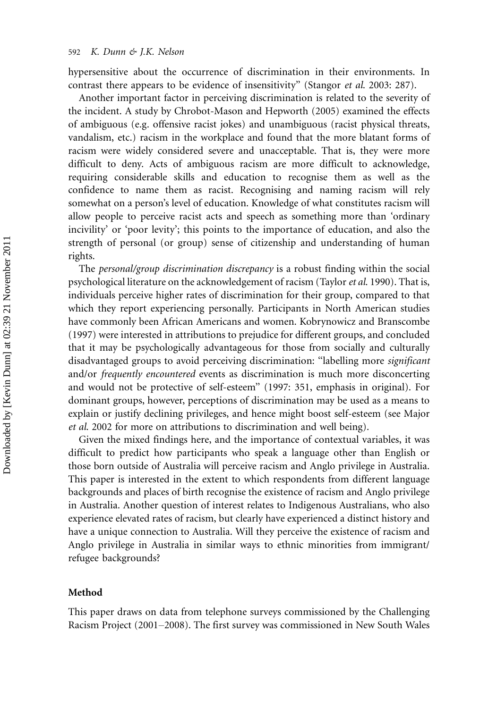hypersensitive about the occurrence of discrimination in their environments. In contrast there appears to be evidence of insensitivity'' (Stangor et al. 2003: 287).

Another important factor in perceiving discrimination is related to the severity of the incident. A study by Chrobot-Mason and Hepworth (2005) examined the effects of ambiguous (e.g. offensive racist jokes) and unambiguous (racist physical threats, vandalism, etc.) racism in the workplace and found that the more blatant forms of racism were widely considered severe and unacceptable. That is, they were more difficult to deny. Acts of ambiguous racism are more difficult to acknowledge, requiring considerable skills and education to recognise them as well as the confidence to name them as racist. Recognising and naming racism will rely somewhat on a person's level of education. Knowledge of what constitutes racism will allow people to perceive racist acts and speech as something more than 'ordinary incivility' or 'poor levity'; this points to the importance of education, and also the strength of personal (or group) sense of citizenship and understanding of human rights.

The personal/group discrimination discrepancy is a robust finding within the social psychological literature on the acknowledgement of racism (Taylor et al. 1990). That is, individuals perceive higher rates of discrimination for their group, compared to that which they report experiencing personally. Participants in North American studies have commonly been African Americans and women. Kobrynowicz and Branscombe (1997) were interested in attributions to prejudice for different groups, and concluded that it may be psychologically advantageous for those from socially and culturally disadvantaged groups to avoid perceiving discrimination: ''labelling more significant and/or frequently encountered events as discrimination is much more disconcerting and would not be protective of self-esteem'' (1997: 351, emphasis in original). For dominant groups, however, perceptions of discrimination may be used as a means to explain or justify declining privileges, and hence might boost self-esteem (see Major et al. 2002 for more on attributions to discrimination and well being).

Given the mixed findings here, and the importance of contextual variables, it was difficult to predict how participants who speak a language other than English or those born outside of Australia will perceive racism and Anglo privilege in Australia. This paper is interested in the extent to which respondents from different language backgrounds and places of birth recognise the existence of racism and Anglo privilege in Australia. Another question of interest relates to Indigenous Australians, who also experience elevated rates of racism, but clearly have experienced a distinct history and have a unique connection to Australia. Will they perceive the existence of racism and Anglo privilege in Australia in similar ways to ethnic minorities from immigrant/ refugee backgrounds?

#### Method

This paper draws on data from telephone surveys commissioned by the Challenging Racism Project  $(2001-2008)$ . The first survey was commissioned in New South Wales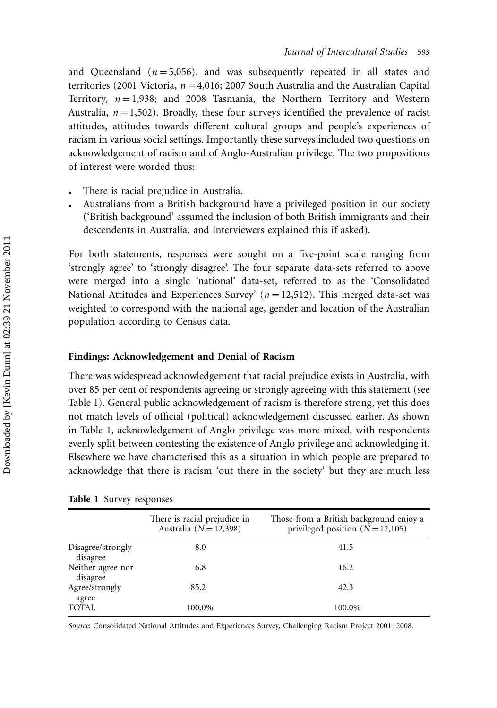and Queensland  $(n=5,056)$ , and was subsequently repeated in all states and territories (2001 Victoria, *n* = 4,016; 2007 South Australia and the Australian Capital Territory,  $n = 1,938$ ; and 2008 Tasmania, the Northern Territory and Western Australia,  $n = 1,502$ ). Broadly, these four surveys identified the prevalence of racist attitudes, attitudes towards different cultural groups and people's experiences of racism in various social settings. Importantly these surveys included two questions on acknowledgement of racism and of Anglo-Australian privilege. The two propositions of interest were worded thus:

- . There is racial prejudice in Australia.
- . Australians from a British background have a privileged position in our society ('British background' assumed the inclusion of both British immigrants and their descendents in Australia, and interviewers explained this if asked).

For both statements, responses were sought on a five-point scale ranging from 'strongly agree' to 'strongly disagree'. The four separate data-sets referred to above were merged into a single 'national' data-set, referred to as the 'Consolidated National Attitudes and Experiences Survey'  $(n=12,512)$ . This merged data-set was weighted to correspond with the national age, gender and location of the Australian population according to Census data.

## Findings: Acknowledgement and Denial of Racism

There was widespread acknowledgement that racial prejudice exists in Australia, with over 85 per cent of respondents agreeing or strongly agreeing with this statement (see Table 1). General public acknowledgement of racism is therefore strong, yet this does not match levels of official (political) acknowledgement discussed earlier. As shown in Table 1, acknowledgement of Anglo privilege was more mixed, with respondents evenly split between contesting the existence of Anglo privilege and acknowledging it. Elsewhere we have characterised this as a situation in which people are prepared to acknowledge that there is racism 'out there in the society' but they are much less

|                               | There is racial prejudice in<br>Australia ( $N = 12,398$ ) | Those from a British background enjoy a<br>privileged position $(N=12,105)$ |  |  |  |  |
|-------------------------------|------------------------------------------------------------|-----------------------------------------------------------------------------|--|--|--|--|
| Disagree/strongly<br>disagree | 8.0                                                        | 41.5                                                                        |  |  |  |  |
| Neither agree nor<br>disagree | 6.8                                                        | 16.2                                                                        |  |  |  |  |
| Agree/strongly<br>agree       | 85.2                                                       | 42.3                                                                        |  |  |  |  |
| TOTAL                         | 100.0%                                                     | 100.0%                                                                      |  |  |  |  |

Table 1 Survey responses

Source: Consolidated National Attitudes and Experiences Survey, Challenging Racism Project 2001-2008.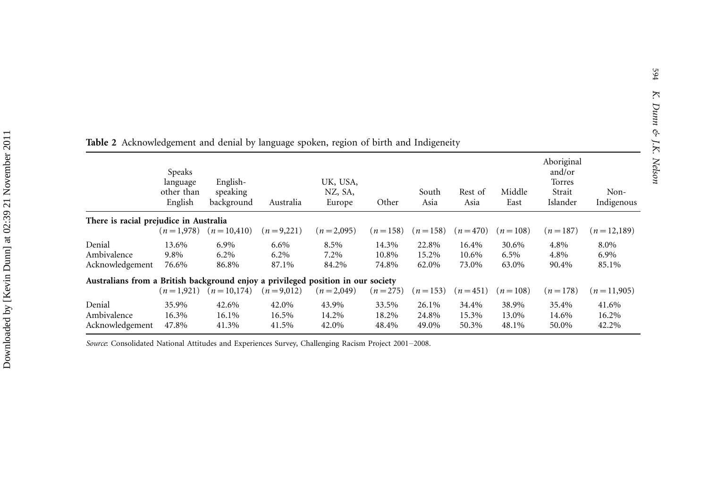|                                                                                  | Speaks<br>language<br>other than<br>English | English-<br>speaking<br>background | Australia   | UK, USA,<br>NZ, SA,<br>Europe | Other     | South<br>Asia | Rest of<br>Asia | Middle<br>East | Aboriginal<br>and/or<br>Torres<br>Strait<br>Islander | Non-<br>Indigenous |  |  |  |
|----------------------------------------------------------------------------------|---------------------------------------------|------------------------------------|-------------|-------------------------------|-----------|---------------|-----------------|----------------|------------------------------------------------------|--------------------|--|--|--|
|                                                                                  | There is racial prejudice in Australia      |                                    |             |                               |           |               |                 |                |                                                      |                    |  |  |  |
|                                                                                  | $(n=1,978)$                                 | $(n=10,410)$                       | $(n=9,221)$ | $(n=2,095)$                   | $(n=158)$ | $(n=158)$     | $(n=470)$       | $(n=108)$      | $(n=187)$                                            | $(n=12,189)$       |  |  |  |
| Denial                                                                           | 13.6%                                       | 6.9%                               | $6.6\%$     | 8.5%                          | 14.3%     | 22.8%         | 16.4%           | 30.6%          | 4.8%                                                 | 8.0%               |  |  |  |
| Ambivalence                                                                      | 9.8%                                        | 6.2%                               | 6.2%        | 7.2%                          | 10.8%     | 15.2%         | 10.6%           | 6.5%           | 4.8%                                                 | 6.9%               |  |  |  |
| Acknowledgement                                                                  | 76.6%                                       | 86.8%                              | 87.1%       | 84.2%                         | 74.8%     | 62.0%         | 73.0%           | 63.0%          | 90.4%                                                | 85.1%              |  |  |  |
| Australians from a British background enjoy a privileged position in our society |                                             |                                    |             |                               |           |               |                 |                |                                                      |                    |  |  |  |
|                                                                                  | $(n=1,921)$                                 | $(n=10,174)$                       | $(n=9,012)$ | $(n=2,049)$                   | $(n=275)$ | $(n=153)$     | $(n=451)$       | $(n=108)$      | $(n=178)$                                            | $(n=11,905)$       |  |  |  |
| Denial                                                                           | 35.9%                                       | 42.6%                              | 42.0%       | 43.9%                         | 33.5%     | 26.1%         | 34.4%           | 38.9%          | 35.4%                                                | 41.6%              |  |  |  |
| Ambivalence                                                                      | 16.3%                                       | 16.1%                              | 16.5%       | 14.2%                         | 18.2%     | 24.8%         | 15.3%           | 13.0%          | 14.6%                                                | 16.2%              |  |  |  |
| Acknowledgement                                                                  | 47.8%                                       | 41.3%                              | 41.5%       | 42.0%                         | 48.4%     | 49.0%         | 50.3%           | 48.1%          | 50.0%                                                | 42.2%              |  |  |  |

Table 2 Acknowledgement and denial by language spoken, region of birth and Indigeneity

Source: Consolidated National Attitudes and Experiences Survey, Challenging Racism Project 2001-2008.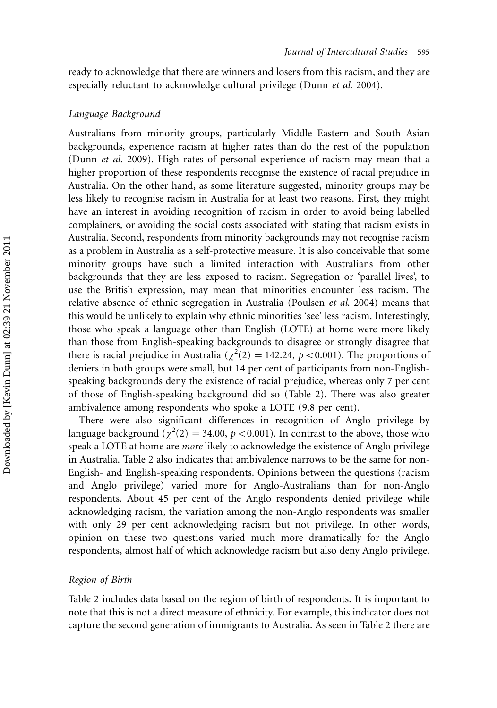ready to acknowledge that there are winners and losers from this racism, and they are especially reluctant to acknowledge cultural privilege (Dunn et al. 2004).

#### Language Background

Australians from minority groups, particularly Middle Eastern and South Asian backgrounds, experience racism at higher rates than do the rest of the population (Dunn et al. 2009). High rates of personal experience of racism may mean that a higher proportion of these respondents recognise the existence of racial prejudice in Australia. On the other hand, as some literature suggested, minority groups may be less likely to recognise racism in Australia for at least two reasons. First, they might have an interest in avoiding recognition of racism in order to avoid being labelled complainers, or avoiding the social costs associated with stating that racism exists in Australia. Second, respondents from minority backgrounds may not recognise racism as a problem in Australia as a self-protective measure. It is also conceivable that some minority groups have such a limited interaction with Australians from other backgrounds that they are less exposed to racism. Segregation or 'parallel lives', to use the British expression, may mean that minorities encounter less racism. The relative absence of ethnic segregation in Australia (Poulsen et al. 2004) means that this would be unlikely to explain why ethnic minorities 'see' less racism. Interestingly, those who speak a language other than English (LOTE) at home were more likely than those from English-speaking backgrounds to disagree or strongly disagree that there is racial prejudice in Australia ( $\chi^2(2) = 142.24$ ,  $p < 0.001$ ). The proportions of deniers in both groups were small, but 14 per cent of participants from non-Englishspeaking backgrounds deny the existence of racial prejudice, whereas only 7 per cent of those of English-speaking background did so (Table 2). There was also greater ambivalence among respondents who spoke a LOTE (9.8 per cent).

There were also significant differences in recognition of Anglo privilege by language background ( $\chi^2(2) = 34.00, p < 0.001$ ). In contrast to the above, those who speak a LOTE at home are *more* likely to acknowledge the existence of Anglo privilege in Australia. Table 2 also indicates that ambivalence narrows to be the same for non-English- and English-speaking respondents. Opinions between the questions (racism and Anglo privilege) varied more for Anglo-Australians than for non-Anglo respondents. About 45 per cent of the Anglo respondents denied privilege while acknowledging racism, the variation among the non-Anglo respondents was smaller with only 29 per cent acknowledging racism but not privilege. In other words, opinion on these two questions varied much more dramatically for the Anglo respondents, almost half of which acknowledge racism but also deny Anglo privilege.

### Region of Birth

Table 2 includes data based on the region of birth of respondents. It is important to note that this is not a direct measure of ethnicity. For example, this indicator does not capture the second generation of immigrants to Australia. As seen in Table 2 there are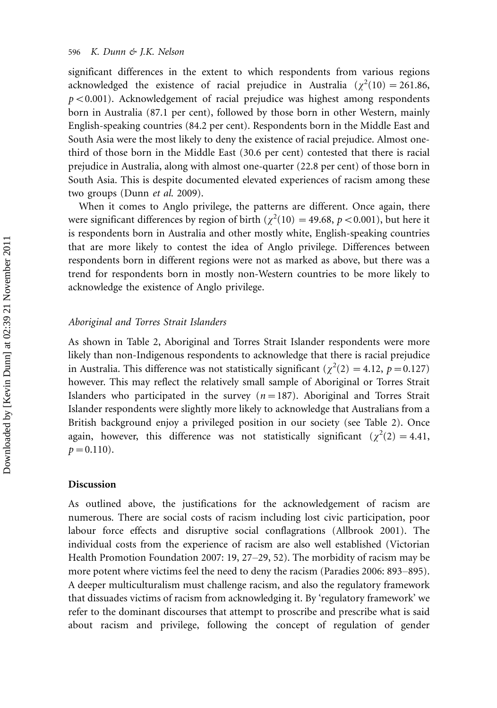significant differences in the extent to which respondents from various regions acknowledged the existence of racial prejudice in Australia  $(\chi^2(10) = 261.86,$  $p < 0.001$ ). Acknowledgement of racial prejudice was highest among respondents born in Australia (87.1 per cent), followed by those born in other Western, mainly English-speaking countries (84.2 per cent). Respondents born in the Middle East and South Asia were the most likely to deny the existence of racial prejudice. Almost onethird of those born in the Middle East (30.6 per cent) contested that there is racial prejudice in Australia, along with almost one-quarter (22.8 per cent) of those born in South Asia. This is despite documented elevated experiences of racism among these two groups (Dunn et al. 2009).

When it comes to Anglo privilege, the patterns are different. Once again, there were significant differences by region of birth ( $\chi^2(10) = 49.68$ ,  $p < 0.001$ ), but here it is respondents born in Australia and other mostly white, English-speaking countries that are more likely to contest the idea of Anglo privilege. Differences between respondents born in different regions were not as marked as above, but there was a trend for respondents born in mostly non-Western countries to be more likely to acknowledge the existence of Anglo privilege.

#### Aboriginal and Torres Strait Islanders

As shown in Table 2, Aboriginal and Torres Strait Islander respondents were more likely than non-Indigenous respondents to acknowledge that there is racial prejudice in Australia. This difference was not statistically significant ( $\chi^2(2) = 4.12$ ,  $p = 0.127$ ) however. This may reflect the relatively small sample of Aboriginal or Torres Strait Islanders who participated in the survey  $(n=187)$ . Aboriginal and Torres Strait Islander respondents were slightly more likely to acknowledge that Australians from a British background enjoy a privileged position in our society (see Table 2). Once again, however, this difference was not statistically significant  $(\chi^2(2) = 4.41,$  $p = 0.110$ .

## Discussion

As outlined above, the justifications for the acknowledgement of racism are numerous. There are social costs of racism including lost civic participation, poor labour force effects and disruptive social conflagrations (Allbrook 2001). The individual costs from the experience of racism are also well established (Victorian Health Promotion Foundation 2007: 19, 27–29, 52). The morbidity of racism may be more potent where victims feel the need to deny the racism (Paradies 2006: 893–895). A deeper multiculturalism must challenge racism, and also the regulatory framework that dissuades victims of racism from acknowledging it. By 'regulatory framework' we refer to the dominant discourses that attempt to proscribe and prescribe what is said about racism and privilege, following the concept of regulation of gender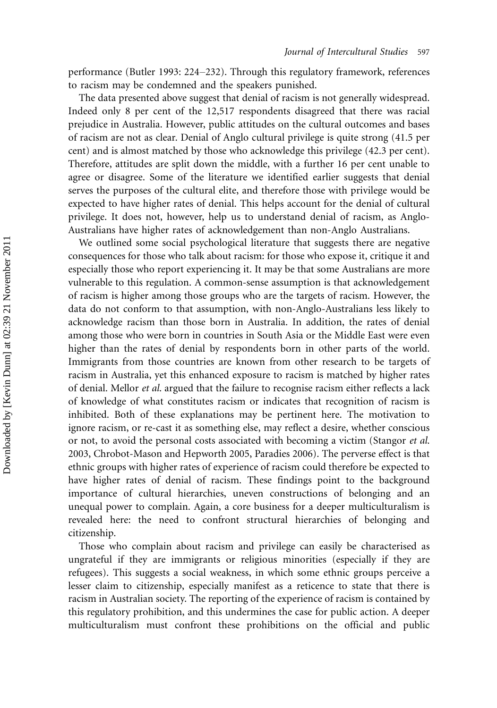performance (Butler 1993: 224-232). Through this regulatory framework, references to racism may be condemned and the speakers punished.

The data presented above suggest that denial of racism is not generally widespread. Indeed only 8 per cent of the 12,517 respondents disagreed that there was racial prejudice in Australia. However, public attitudes on the cultural outcomes and bases of racism are not as clear. Denial of Anglo cultural privilege is quite strong (41.5 per cent) and is almost matched by those who acknowledge this privilege (42.3 per cent). Therefore, attitudes are split down the middle, with a further 16 per cent unable to agree or disagree. Some of the literature we identified earlier suggests that denial serves the purposes of the cultural elite, and therefore those with privilege would be expected to have higher rates of denial. This helps account for the denial of cultural privilege. It does not, however, help us to understand denial of racism, as Anglo-Australians have higher rates of acknowledgement than non-Anglo Australians.

We outlined some social psychological literature that suggests there are negative consequences for those who talk about racism: for those who expose it, critique it and especially those who report experiencing it. It may be that some Australians are more vulnerable to this regulation. A common-sense assumption is that acknowledgement of racism is higher among those groups who are the targets of racism. However, the data do not conform to that assumption, with non-Anglo-Australians less likely to acknowledge racism than those born in Australia. In addition, the rates of denial among those who were born in countries in South Asia or the Middle East were even higher than the rates of denial by respondents born in other parts of the world. Immigrants from those countries are known from other research to be targets of racism in Australia, yet this enhanced exposure to racism is matched by higher rates of denial. Mellor et al. argued that the failure to recognise racism either reflects a lack of knowledge of what constitutes racism or indicates that recognition of racism is inhibited. Both of these explanations may be pertinent here. The motivation to ignore racism, or re-cast it as something else, may reflect a desire, whether conscious or not, to avoid the personal costs associated with becoming a victim (Stangor et al. 2003, Chrobot-Mason and Hepworth 2005, Paradies 2006). The perverse effect is that ethnic groups with higher rates of experience of racism could therefore be expected to have higher rates of denial of racism. These findings point to the background importance of cultural hierarchies, uneven constructions of belonging and an unequal power to complain. Again, a core business for a deeper multiculturalism is revealed here: the need to confront structural hierarchies of belonging and citizenship.

Those who complain about racism and privilege can easily be characterised as ungrateful if they are immigrants or religious minorities (especially if they are refugees). This suggests a social weakness, in which some ethnic groups perceive a lesser claim to citizenship, especially manifest as a reticence to state that there is racism in Australian society. The reporting of the experience of racism is contained by this regulatory prohibition, and this undermines the case for public action. A deeper multiculturalism must confront these prohibitions on the official and public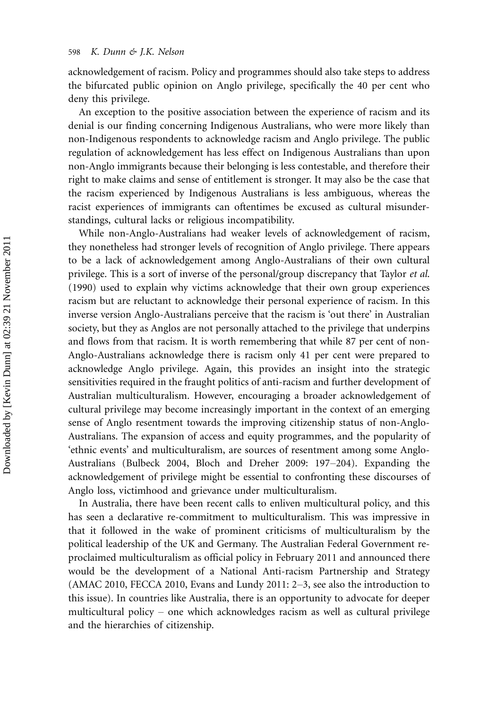acknowledgement of racism. Policy and programmes should also take steps to address the bifurcated public opinion on Anglo privilege, specifically the 40 per cent who deny this privilege.

An exception to the positive association between the experience of racism and its denial is our finding concerning Indigenous Australians, who were more likely than non-Indigenous respondents to acknowledge racism and Anglo privilege. The public regulation of acknowledgement has less effect on Indigenous Australians than upon non-Anglo immigrants because their belonging is less contestable, and therefore their right to make claims and sense of entitlement is stronger. It may also be the case that the racism experienced by Indigenous Australians is less ambiguous, whereas the racist experiences of immigrants can oftentimes be excused as cultural misunderstandings, cultural lacks or religious incompatibility.

While non-Anglo-Australians had weaker levels of acknowledgement of racism, they nonetheless had stronger levels of recognition of Anglo privilege. There appears to be a lack of acknowledgement among Anglo-Australians of their own cultural privilege. This is a sort of inverse of the personal/group discrepancy that Taylor et al. (1990) used to explain why victims acknowledge that their own group experiences racism but are reluctant to acknowledge their personal experience of racism. In this inverse version Anglo-Australians perceive that the racism is 'out there' in Australian society, but they as Anglos are not personally attached to the privilege that underpins and flows from that racism. It is worth remembering that while 87 per cent of non-Anglo-Australians acknowledge there is racism only 41 per cent were prepared to acknowledge Anglo privilege. Again, this provides an insight into the strategic sensitivities required in the fraught politics of anti-racism and further development of Australian multiculturalism. However, encouraging a broader acknowledgement of cultural privilege may become increasingly important in the context of an emerging sense of Anglo resentment towards the improving citizenship status of non-Anglo-Australians. The expansion of access and equity programmes, and the popularity of 'ethnic events' and multiculturalism, are sources of resentment among some Anglo-Australians (Bulbeck 2004, Bloch and Dreher 2009: 197-204). Expanding the acknowledgement of privilege might be essential to confronting these discourses of Anglo loss, victimhood and grievance under multiculturalism.

In Australia, there have been recent calls to enliven multicultural policy, and this has seen a declarative re-commitment to multiculturalism. This was impressive in that it followed in the wake of prominent criticisms of multiculturalism by the political leadership of the UK and Germany. The Australian Federal Government reproclaimed multiculturalism as official policy in February 2011 and announced there would be the development of a National Anti-racism Partnership and Strategy (AMAC 2010, FECCA 2010, Evans and Lundy 2011:  $2-3$ , see also the introduction to this issue). In countries like Australia, there is an opportunity to advocate for deeper multicultural policy  $-$  one which acknowledges racism as well as cultural privilege and the hierarchies of citizenship.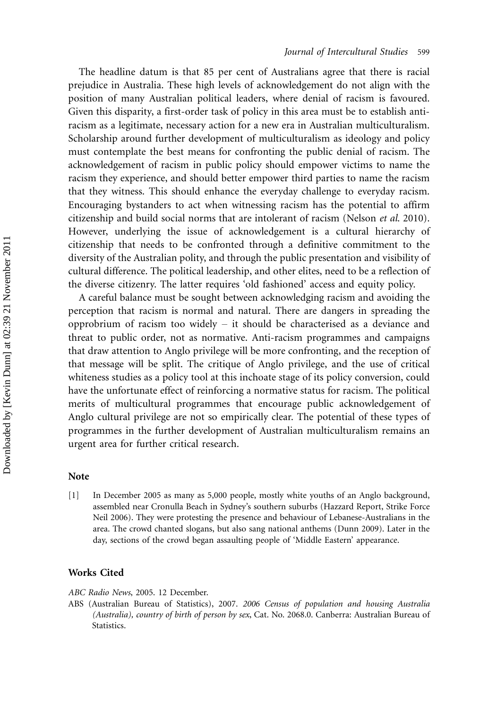The headline datum is that 85 per cent of Australians agree that there is racial prejudice in Australia. These high levels of acknowledgement do not align with the position of many Australian political leaders, where denial of racism is favoured. Given this disparity, a first-order task of policy in this area must be to establish antiracism as a legitimate, necessary action for a new era in Australian multiculturalism. Scholarship around further development of multiculturalism as ideology and policy must contemplate the best means for confronting the public denial of racism. The acknowledgement of racism in public policy should empower victims to name the racism they experience, and should better empower third parties to name the racism that they witness. This should enhance the everyday challenge to everyday racism. Encouraging bystanders to act when witnessing racism has the potential to affirm citizenship and build social norms that are intolerant of racism (Nelson et al. 2010). However, underlying the issue of acknowledgement is a cultural hierarchy of citizenship that needs to be confronted through a definitive commitment to the diversity of the Australian polity, and through the public presentation and visibility of cultural difference. The political leadership, and other elites, need to be a reflection of the diverse citizenry. The latter requires 'old fashioned' access and equity policy.

A careful balance must be sought between acknowledging racism and avoiding the perception that racism is normal and natural. There are dangers in spreading the opprobrium of racism too widely  $-$  it should be characterised as a deviance and threat to public order, not as normative. Anti-racism programmes and campaigns that draw attention to Anglo privilege will be more confronting, and the reception of that message will be split. The critique of Anglo privilege, and the use of critical whiteness studies as a policy tool at this inchoate stage of its policy conversion, could have the unfortunate effect of reinforcing a normative status for racism. The political merits of multicultural programmes that encourage public acknowledgement of Anglo cultural privilege are not so empirically clear. The potential of these types of programmes in the further development of Australian multiculturalism remains an urgent area for further critical research.

### Note

[1] In December 2005 as many as 5,000 people, mostly white youths of an Anglo background, assembled near Cronulla Beach in Sydney's southern suburbs (Hazzard Report, Strike Force Neil 2006). They were protesting the presence and behaviour of Lebanese-Australians in the area. The crowd chanted slogans, but also sang national anthems (Dunn 2009). Later in the day, sections of the crowd began assaulting people of 'Middle Eastern' appearance.

## Works Cited

- ABC Radio News, 2005. 12 December.
- ABS (Australian Bureau of Statistics), 2007. 2006 Census of population and housing Australia (Australia), country of birth of person by sex, Cat. No. 2068.0. Canberra: Australian Bureau of Statistics.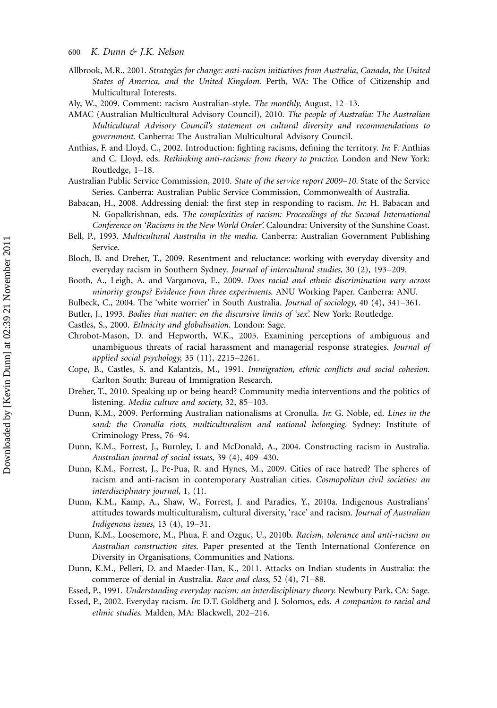- 600 K. Dunn & J.K. Nelson
- Allbrook, M.R., 2001. Strategies for change: anti-racism initiatives from Australia, Canada, the United States of America, and the United Kingdom. Perth, WA: The Office of Citizenship and Multicultural Interests.
- Aly, W., 2009. Comment: racism Australian-style. The monthly, August, 12-13.
- AMAC (Australian Multicultural Advisory Council), 2010. The people of Australia: The Australian Multicultural Advisory Council's statement on cultural diversity and recommendations to government. Canberra: The Australian Multicultural Advisory Council.
- Anthias, F. and Lloyd, C., 2002. Introduction: fighting racisms, defining the territory. In: F. Anthias and C. Lloyd, eds. Rethinking anti-racisms: from theory to practice. London and New York: Routledge,  $1-18$ .
- Australian Public Service Commission, 2010. State of the service report 2009–10. State of the Service Series. Canberra: Australian Public Service Commission, Commonwealth of Australia.
- Babacan, H., 2008. Addressing denial: the first step in responding to racism. In: H. Babacan and N. Gopalkrishnan, eds. The complexities of racism: Proceedings of the Second International Conference on 'Racisms in the New World Order'. Caloundra: University of the Sunshine Coast.
- Bell, P., 1993. Multicultural Australia in the media. Canberra: Australian Government Publishing Service.
- Bloch, B. and Dreher, T., 2009. Resentment and reluctance: working with everyday diversity and everyday racism in Southern Sydney. Journal of intercultural studies, 30 (2), 193-209.
- Booth, A., Leigh, A. and Varganova, E., 2009. Does racial and ethnic discrimination vary across minority groups? Evidence from three experiments. ANU Working Paper. Canberra: ANU.
- Bulbeck, C., 2004. The 'white worrier' in South Australia. Journal of sociology, 40 (4), 341-361.
- Butler, J., 1993. Bodies that matter: on the discursive limits of 'sex'. New York: Routledge.
- Castles, S., 2000. Ethnicity and globalisation. London: Sage.
- Chrobot-Mason, D. and Hepworth, W.K., 2005. Examining perceptions of ambiguous and unambiguous threats of racial harassment and managerial response strategies. Journal of applied social psychology,  $35(11)$ ,  $2215-2261$ .
- Cope, B., Castles, S. and Kalantzis, M., 1991. Immigration, ethnic conflicts and social cohesion. Carlton South: Bureau of Immigration Research.
- Dreher, T., 2010. Speaking up or being heard? Community media interventions and the politics of listening. Media culture and society, 32, 85 $-103$ .
- Dunn, K.M., 2009. Performing Australian nationalisms at Cronulla. In: G. Noble, ed. Lines in the sand: the Cronulla riots, multiculturalism and national belonging. Sydney: Institute of Criminology Press, 76-94.
- Dunn, K.M., Forrest, J., Burnley, I. and McDonald, A., 2004. Constructing racism in Australia. Australian journal of social issues,  $39(4)$ ,  $409-430$ .
- Dunn, K.M., Forrest, J., Pe-Pua, R. and Hynes, M., 2009. Cities of race hatred? The spheres of racism and anti-racism in contemporary Australian cities. Cosmopolitan civil societies: an interdisciplinary journal, 1, (1).
- Dunn, K.M., Kamp, A., Shaw, W., Forrest, J. and Paradies, Y., 2010a. Indigenous Australians' attitudes towards multiculturalism, cultural diversity, 'race' and racism. Journal of Australian Indigenous issues,  $13(4)$ ,  $19-31$ .
- Dunn, K.M., Loosemore, M., Phua, F. and Ozguc, U., 2010b. Racism, tolerance and anti-racism on Australian construction sites. Paper presented at the Tenth International Conference on Diversity in Organisations, Communities and Nations.
- Dunn, K.M., Pelleri, D. and Maeder-Han, K., 2011. Attacks on Indian students in Australia: the commerce of denial in Australia. Race and class, 52 (4), 71-88.
- Essed, P., 1991. Understanding everyday racism: an interdisciplinary theory. Newbury Park, CA: Sage.
- Essed, P., 2002. Everyday racism. In: D.T. Goldberg and J. Solomos, eds. A companion to racial and ethnic studies. Malden, MA: Blackwell, 202-216.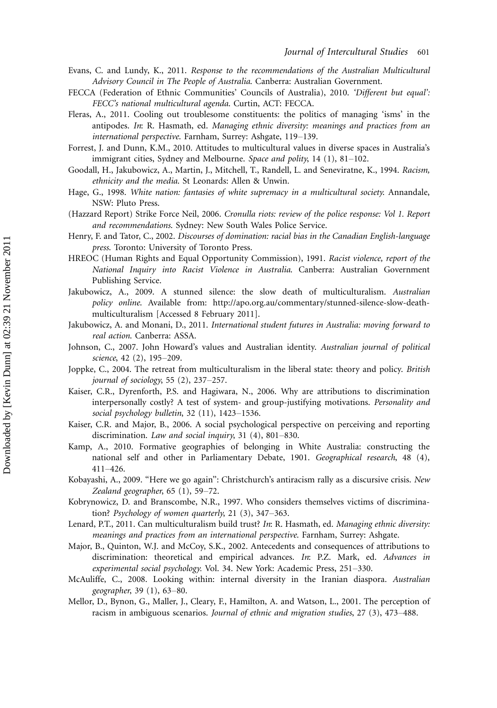- Evans, C. and Lundy, K., 2011. Response to the recommendations of the Australian Multicultural Advisory Council in The People of Australia. Canberra: Australian Government.
- FECCA (Federation of Ethnic Communities' Councils of Australia), 2010. 'Different but equal': FECC's national multicultural agenda. Curtin, ACT: FECCA.
- Fleras, A., 2011. Cooling out troublesome constituents: the politics of managing 'isms' in the antipodes. In: R. Hasmath, ed. Managing ethnic diversity: meanings and practices from an international perspective. Farnham, Surrey: Ashgate, 119-139.
- Forrest, J. and Dunn, K.M., 2010. Attitudes to multicultural values in diverse spaces in Australia's immigrant cities, Sydney and Melbourne. Space and polity,  $14$  (1),  $81-102$ .
- Goodall, H., Jakubowicz, A., Martin, J., Mitchell, T., Randell, L. and Seneviratne, K., 1994. Racism, ethnicity and the media. St Leonards: Allen & Unwin.
- Hage, G., 1998. White nation: fantasies of white supremacy in a multicultural society. Annandale, NSW: Pluto Press.
- (Hazzard Report) Strike Force Neil, 2006. Cronulla riots: review of the police response: Vol 1. Report and recommendations. Sydney: New South Wales Police Service.
- Henry, F. and Tator, C., 2002. Discourses of domination: racial bias in the Canadian English-language press. Toronto: University of Toronto Press.
- HREOC (Human Rights and Equal Opportunity Commission), 1991. Racist violence, report of the National Inquiry into Racist Violence in Australia. Canberra: Australian Government Publishing Service.
- Jakubowicz, A., 2009. A stunned silence: the slow death of multiculturalism. Australian policy online. Available from: [http://apo.org.au/commentary/stunned-silence-slow-death](http://apo.org.au/commentary/stunned-silence-slow-death-multiculturalism)[multiculturalism \[Accessed 8 February 2011\].](http://apo.org.au/commentary/stunned-silence-slow-death-multiculturalism)
- Jakubowicz, A. and Monani, D., 2011. International student futures in Australia: moving forward to real action. Canberra: ASSA.
- Johnson, C., 2007. John Howard's values and Australian identity. Australian journal of political science, 42 (2), 195-209.
- Joppke, C., 2004. The retreat from multiculturalism in the liberal state: theory and policy. British journal of sociology, 55  $(2)$ , 237-257.
- Kaiser, C.R., Dyrenforth, P.S. and Hagiwara, N., 2006. Why are attributions to discrimination interpersonally costly? A test of system- and group-justifying motivations. Personality and social psychology bulletin,  $32(11)$ ,  $1423-1536$ .
- Kaiser, C.R. and Major, B., 2006. A social psychological perspective on perceiving and reporting discrimination. Law and social inquiry,  $31$  (4),  $801-830$ .
- Kamp, A., 2010. Formative geographies of belonging in White Australia: constructing the national self and other in Parliamentary Debate, 1901. Geographical research, 48 (4), 411426.
- Kobayashi, A., 2009. ''Here we go again'': Christchurch's antiracism rally as a discursive crisis. New Zealand geographer,  $65$   $(1)$ ,  $59-72$ .
- Kobrynowicz, D. and Branscombe, N.R., 1997. Who considers themselves victims of discrimination? Psychology of women quarterly,  $21$  (3),  $347-363$ .
- Lenard, P.T., 2011. Can multiculturalism build trust? In: R. Hasmath, ed. Managing ethnic diversity: meanings and practices from an international perspective. Farnham, Surrey: Ashgate.
- Major, B., Quinton, W.J. and McCoy, S.K., 2002. Antecedents and consequences of attributions to discrimination: theoretical and empirical advances. In: P.Z. Mark, ed. Advances in experimental social psychology. Vol. 34. New York: Academic Press, 251-330.
- McAuliffe, C., 2008. Looking within: internal diversity in the Iranian diaspora. Australian geographer, 39 (1), 63-80.
- Mellor, D., Bynon, G., Maller, J., Cleary, F., Hamilton, A. and Watson, L., 2001. The perception of racism in ambiguous scenarios. Journal of ethnic and migration studies, 27 (3), 473-488.